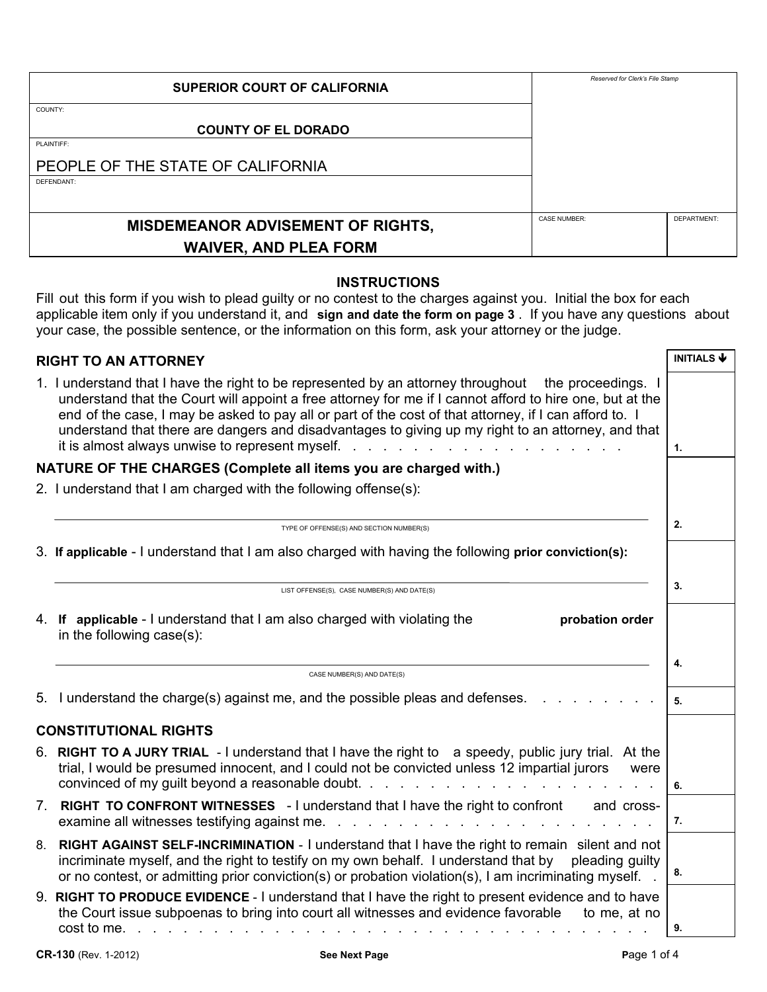| <b>SUPERIOR COURT OF CALIFORNIA</b>      | Reserved for Clerk's File Stamp |                    |
|------------------------------------------|---------------------------------|--------------------|
| COUNTY:                                  |                                 |                    |
| <b>COUNTY OF EL DORADO</b>               |                                 |                    |
| PLAINTIFF:                               |                                 |                    |
| PEOPLE OF THE STATE OF CALIFORNIA        |                                 |                    |
| DEFENDANT:                               |                                 |                    |
|                                          |                                 |                    |
| <b>MISDEMEANOR ADVISEMENT OF RIGHTS,</b> | <b>CASE NUMBER:</b>             | <b>DEPARTMENT:</b> |
| <b>WAIVER, AND PLEA FORM</b>             |                                 |                    |

#### **INSTRUCTIONS**

Fill out this form if you wish to plead guilty or no contest to the charges against you. Initial the box for each applicable item only if you understand it, and **sign and date the form on page 3** . If you have any questions about your case, the possible sentence, or the information on this form, ask your attorney or the judge.

| <b>RIGHT TO AN ATTORNEY</b>                                      |                                                                                                                                                                                                                                                                                                                                                                                                                                                                                                                                                                                                               |    |  |  |  |
|------------------------------------------------------------------|---------------------------------------------------------------------------------------------------------------------------------------------------------------------------------------------------------------------------------------------------------------------------------------------------------------------------------------------------------------------------------------------------------------------------------------------------------------------------------------------------------------------------------------------------------------------------------------------------------------|----|--|--|--|
|                                                                  | 1. I understand that I have the right to be represented by an attorney throughout the proceedings. I<br>understand that the Court will appoint a free attorney for me if I cannot afford to hire one, but at the<br>end of the case, I may be asked to pay all or part of the cost of that attorney, if I can afford to. I<br>understand that there are dangers and disadvantages to giving up my right to an attorney, and that<br>it is almost always unwise to represent myself.<br>and the company of the company of the company of the company of the company of the company of the company of the<br>1. |    |  |  |  |
| NATURE OF THE CHARGES (Complete all items you are charged with.) |                                                                                                                                                                                                                                                                                                                                                                                                                                                                                                                                                                                                               |    |  |  |  |
|                                                                  | 2. I understand that I am charged with the following offense(s):                                                                                                                                                                                                                                                                                                                                                                                                                                                                                                                                              |    |  |  |  |
|                                                                  | TYPE OF OFFENSE(S) AND SECTION NUMBER(S)                                                                                                                                                                                                                                                                                                                                                                                                                                                                                                                                                                      | 2. |  |  |  |
|                                                                  | 3. If applicable - I understand that I am also charged with having the following prior conviction(s):                                                                                                                                                                                                                                                                                                                                                                                                                                                                                                         |    |  |  |  |
|                                                                  | LIST OFFENSE(S), CASE NUMBER(S) AND DATE(S)                                                                                                                                                                                                                                                                                                                                                                                                                                                                                                                                                                   | 3. |  |  |  |
|                                                                  | 4. If applicable - I understand that I am also charged with violating the<br>probation order<br>in the following case(s):                                                                                                                                                                                                                                                                                                                                                                                                                                                                                     |    |  |  |  |
|                                                                  | CASE NUMBER(S) AND DATE(S)                                                                                                                                                                                                                                                                                                                                                                                                                                                                                                                                                                                    |    |  |  |  |
|                                                                  | 5. I understand the charge(s) against me, and the possible pleas and defenses.                                                                                                                                                                                                                                                                                                                                                                                                                                                                                                                                | 5. |  |  |  |
| <b>CONSTITUTIONAL RIGHTS</b>                                     |                                                                                                                                                                                                                                                                                                                                                                                                                                                                                                                                                                                                               |    |  |  |  |
|                                                                  | 6. RIGHT TO A JURY TRIAL - I understand that I have the right to a speedy, public jury trial. At the<br>trial, I would be presumed innocent, and I could not be convicted unless 12 impartial jurors<br>were<br>convinced of my guilt beyond a reasonable doubt                                                                                                                                                                                                                                                                                                                                               | 6. |  |  |  |
|                                                                  | 7. RIGHT TO CONFRONT WITNESSES - I understand that I have the right to confront<br>and cross-<br>examine all witnesses testifying against me.<br>and the state of the state of the state of the state of the state of the state of the state of the state of the                                                                                                                                                                                                                                                                                                                                              | 7. |  |  |  |
| 8.                                                               | RIGHT AGAINST SELF-INCRIMINATION - I understand that I have the right to remain silent and not<br>incriminate myself, and the right to testify on my own behalf. I understand that by<br>pleading quilty<br>or no contest, or admitting prior conviction(s) or probation violation(s), I am incriminating myself.                                                                                                                                                                                                                                                                                             | 8. |  |  |  |
|                                                                  | 9. RIGHT TO PRODUCE EVIDENCE - I understand that I have the right to present evidence and to have<br>the Court issue subpoenas to bring into court all witnesses and evidence favorable<br>to me, at no<br>$\cosh$ to me. $\cdots$ $\cdots$ $\cdots$ $\cdots$ $\cdots$                                                                                                                                                                                                                                                                                                                                        | 9. |  |  |  |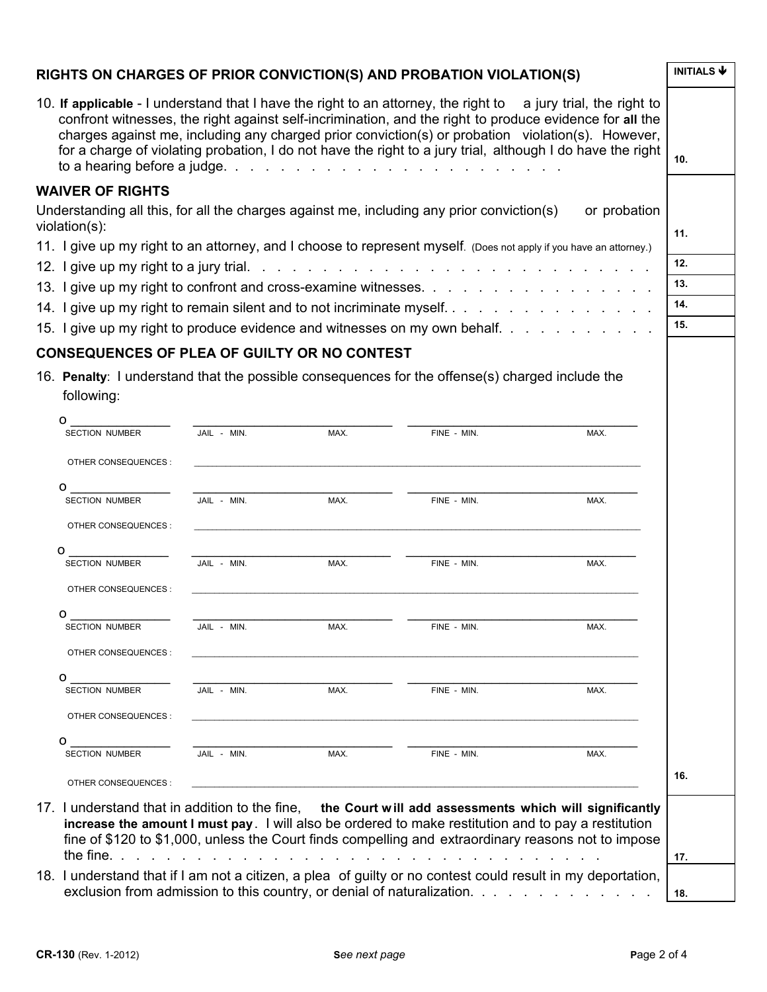# **RIGHTS ON CHARGES OF PRIOR CONVICTION(S) AND PROBATION VIOLATION(S)**  $\sqrt{\frac{INITIALS \cdot \Phi}{NITIALS \cdot \Phi}}$

| INITIALS V      |
|-----------------|
| 10 <sub>1</sub> |
|                 |
| 11.             |
|                 |
| 12.             |
| 13.             |
| 14.             |
| 15.             |
|                 |

## **CONSEQUENCES OF PLEA OF GUILTY OR NO CONTEST**

16. **Penalty**: I understand that the possible consequences for the offense(s) charged include the following:

| 0                     |                  |      |                                                                                                                                                                                                               |      |     |
|-----------------------|------------------|------|---------------------------------------------------------------------------------------------------------------------------------------------------------------------------------------------------------------|------|-----|
| <b>SECTION NUMBER</b> | JAIL - MIN.      | MAX. | FINE - MIN.                                                                                                                                                                                                   | MAX. |     |
| OTHER CONSEQUENCES :  |                  |      |                                                                                                                                                                                                               |      |     |
| 0                     |                  |      |                                                                                                                                                                                                               |      |     |
| <b>SECTION NUMBER</b> | JAIL - MIN. MAX. | MAX. | FINE - MIN.                                                                                                                                                                                                   | MAX. |     |
| OTHER CONSEQUENCES :  |                  |      |                                                                                                                                                                                                               |      |     |
| o                     |                  |      |                                                                                                                                                                                                               |      |     |
| <b>SECTION NUMBER</b> | JAIL - MIN.      | MAX. | FINE - MIN.                                                                                                                                                                                                   | MAX. |     |
| OTHER CONSEQUENCES :  |                  |      |                                                                                                                                                                                                               |      |     |
| o                     |                  |      |                                                                                                                                                                                                               |      |     |
| <b>SECTION NUMBER</b> | JAIL - MIN.      | MAX. | FINE - MIN.                                                                                                                                                                                                   | MAX. |     |
| OTHER CONSEQUENCES :  |                  |      |                                                                                                                                                                                                               |      |     |
| O                     |                  |      |                                                                                                                                                                                                               |      |     |
| <b>SECTION NUMBER</b> | JAIL - MIN.      | MAX. | FINE - MIN.                                                                                                                                                                                                   | MAX. |     |
| OTHER CONSEQUENCES :  |                  |      |                                                                                                                                                                                                               |      |     |
| o                     |                  |      |                                                                                                                                                                                                               |      |     |
| <b>SECTION NUMBER</b> | JAIL - MIN.      | MAX. | FINE - MIN.                                                                                                                                                                                                   | MAX. |     |
| OTHER CONSEQUENCES :  |                  |      |                                                                                                                                                                                                               |      | 16. |
|                       |                  |      |                                                                                                                                                                                                               |      |     |
|                       |                  |      | 17. I understand that in addition to the fine, the Court will add assessments which will significantly<br>increase the amount I must pay. I will also be ordered to make restitution and to pay a restitution |      |     |
|                       |                  |      | fine of \$120 to \$1,000, unless the Court finds compelling and extraordinary reasons not to impose                                                                                                           |      |     |
|                       |                  |      |                                                                                                                                                                                                               |      | 17. |
|                       |                  |      | 18. I understand that if I am not a citizen, a plea of guilty or no contest could result in my deportation,                                                                                                   |      |     |
|                       |                  |      | exclusion from admission to this country, or denial of naturalization.                                                                                                                                        |      | 18. |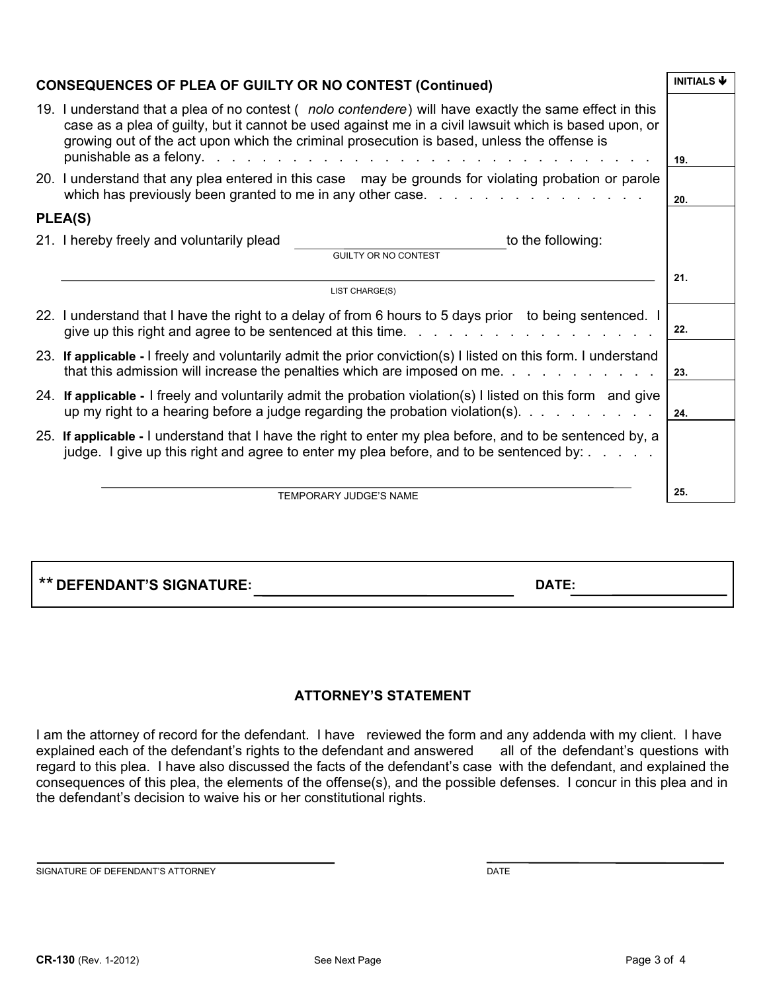| <b>CONSEQUENCES OF PLEA OF GUILTY OR NO CONTEST (Continued)</b> |                                                                                                                                                                                                                                                                                                               | <b>INITIALS</b> |  |  |  |
|-----------------------------------------------------------------|---------------------------------------------------------------------------------------------------------------------------------------------------------------------------------------------------------------------------------------------------------------------------------------------------------------|-----------------|--|--|--|
|                                                                 | 19. I understand that a plea of no contest (nolo contendere) will have exactly the same effect in this<br>case as a plea of guilty, but it cannot be used against me in a civil lawsuit which is based upon, or<br>growing out of the act upon which the criminal prosecution is based, unless the offense is |                 |  |  |  |
|                                                                 | 19.<br>20. I understand that any plea entered in this case may be grounds for violating probation or parole<br>20.                                                                                                                                                                                            |                 |  |  |  |
| PLEA(S)                                                         |                                                                                                                                                                                                                                                                                                               |                 |  |  |  |
|                                                                 | to the following:<br>21. I hereby freely and voluntarily plead<br><b>GUILTY OR NO CONTEST</b>                                                                                                                                                                                                                 |                 |  |  |  |
|                                                                 |                                                                                                                                                                                                                                                                                                               |                 |  |  |  |
|                                                                 | 21.<br>LIST CHARGE(S)                                                                                                                                                                                                                                                                                         |                 |  |  |  |
|                                                                 | 22. I understand that I have the right to a delay of from 6 hours to 5 days prior to being sentenced. I<br>22.<br>give up this right and agree to be sentenced at this time.                                                                                                                                  |                 |  |  |  |
|                                                                 | 23. If applicable - I freely and voluntarily admit the prior conviction(s) I listed on this form. I understand<br>that this admission will increase the penalties which are imposed on me.<br>23.                                                                                                             |                 |  |  |  |
|                                                                 | 24. If applicable - I freely and voluntarily admit the probation violation(s) I listed on this form and give<br>up my right to a hearing before a judge regarding the probation violation(s). $\ldots$<br>24.                                                                                                 |                 |  |  |  |
|                                                                 | 25. If applicable - I understand that I have the right to enter my plea before, and to be sentenced by, a<br>judge. I give up this right and agree to enter my plea before, and to be sentenced by: $\ldots$                                                                                                  |                 |  |  |  |
|                                                                 | TEMPORARY JUDGE'S NAME                                                                                                                                                                                                                                                                                        | 25.             |  |  |  |

\*\* **DEFENDANT'S SIGNATURE: DATE:** 

## **ATTORNEY'S STATEMENT**

I am the attorney of record for the defendant. I have reviewed the form and any addenda with my client. I have explained each of the defendant's rights to the defendant and answered all of the defendant's questions with regard to this plea. I have also discussed the facts of the defendant's case with the defendant, and explained the consequences of this plea, the elements of the offense(s), and the possible defenses. I concur in this plea and in the defendant's decision to waive his or her constitutional rights.